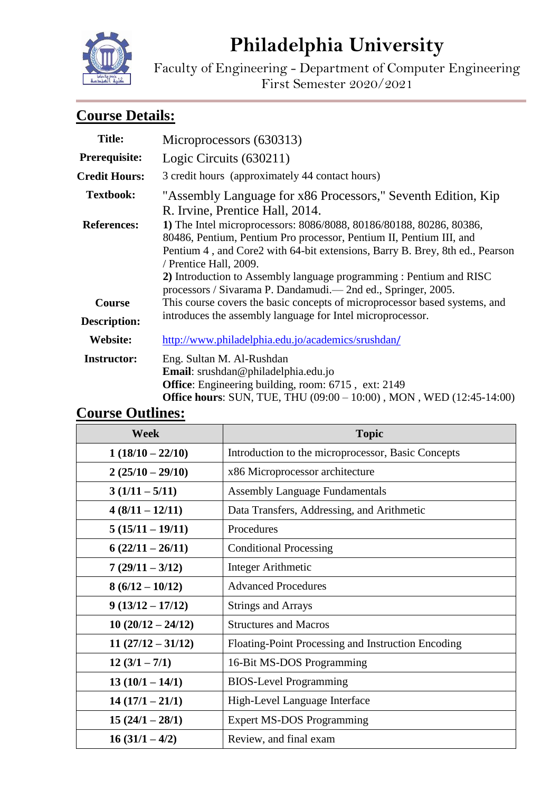# **Philadelphia University**



Faculty of Engineering - Department of Computer Engineering First Semester 2020/2021

## **Course Details:**

| <b>Title:</b>        | Microprocessors (630313)                                                                                                                                                                                                                                                                                                                                                                     |  |
|----------------------|----------------------------------------------------------------------------------------------------------------------------------------------------------------------------------------------------------------------------------------------------------------------------------------------------------------------------------------------------------------------------------------------|--|
| Prerequisite:        | Logic Circuits (630211)                                                                                                                                                                                                                                                                                                                                                                      |  |
| <b>Credit Hours:</b> | 3 credit hours (approximately 44 contact hours)                                                                                                                                                                                                                                                                                                                                              |  |
| <b>Textbook:</b>     | "Assembly Language for x86 Processors," Seventh Edition, Kip<br>R. Irvine, Prentice Hall, 2014.                                                                                                                                                                                                                                                                                              |  |
| <b>References:</b>   | 1) The Intel microprocessors: 8086/8088, 80186/80188, 80286, 80386,<br>80486, Pentium, Pentium Pro processor, Pentium II, Pentium III, and<br>Pentium 4, and Core2 with 64-bit extensions, Barry B. Brey, 8th ed., Pearson<br>/ Prentice Hall, 2009.<br>2) Introduction to Assembly language programming : Pentium and RISC<br>processors / Sivarama P. Dandamudi.— 2nd ed., Springer, 2005. |  |
| <b>Course</b>        | This course covers the basic concepts of microprocessor based systems, and                                                                                                                                                                                                                                                                                                                   |  |
| <b>Description:</b>  | introduces the assembly language for Intel microprocessor.                                                                                                                                                                                                                                                                                                                                   |  |
| <b>Website:</b>      | http://www.philadelphia.edu.jo/academics/srushdan/                                                                                                                                                                                                                                                                                                                                           |  |
| <b>Instructor:</b>   | Eng. Sultan M. Al-Rushdan<br>Email: srushdan@philadelphia.edu.jo<br><b>Office:</b> Engineering building, room: 6715, ext: 2149<br><b>Office hours:</b> SUN, TUE, THU (09:00 – 10:00), MON, WED (12:45-14:00)                                                                                                                                                                                 |  |

### **Course Outlines:**

| <b>Week</b>         | <b>Topic</b>                                       |
|---------------------|----------------------------------------------------|
| $1(18/10-22/10)$    | Introduction to the microprocessor, Basic Concepts |
| $2(25/10-29/10)$    | x86 Microprocessor architecture                    |
| $3(1/11 - 5/11)$    | <b>Assembly Language Fundamentals</b>              |
| $4(8/11-12/11)$     | Data Transfers, Addressing, and Arithmetic         |
| $5(15/11-19/11)$    | Procedures                                         |
| $6(22/11-26/11)$    | <b>Conditional Processing</b>                      |
| $7(29/11-3/12)$     | Integer Arithmetic                                 |
| $8(6/12-10/12)$     | <b>Advanced Procedures</b>                         |
| $9(13/12 - 17/12)$  | <b>Strings and Arrays</b>                          |
| $10(20/12 - 24/12)$ | <b>Structures and Macros</b>                       |
| $11(27/12-31/12)$   | Floating-Point Processing and Instruction Encoding |
| $12(3/1 - 7/1)$     | 16-Bit MS-DOS Programming                          |
| $13(10/1 - 14/1)$   | <b>BIOS-Level Programming</b>                      |
| $14(17/1-21/1)$     | High-Level Language Interface                      |
| $15(24/1-28/1)$     | <b>Expert MS-DOS Programming</b>                   |
| $16(31/1-4/2)$      | Review, and final exam                             |